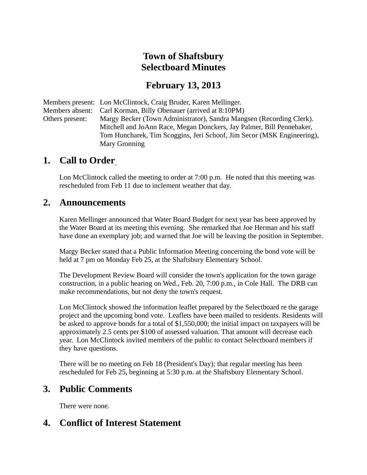# **Town of Shaftsbury Selectboard Minutes**

#### **February 13, 2013**

Members present: Lon McClintock, Craig Bruder, Karen Mellinger. Members absent: Carl Korman, Billy Obenauer (arrived at 8:10PM) Others present: Margy Becker (Town Administrator), Sandra Mangsen (Recording Clerk). Mitchell and JoAnn Race, Megan Donckers, Jay Palmer, Bill Pennebaker, Tom Huncharek, Tim Scoggins, Jeri Schoof, Jim Secor (MSK Engineering), Mary Gronning

#### **1. Call to Order**

Lon McClintock called the meeting to order at 7:00 p.m. He noted that this meeting was rescheduled from Feb 11 due to inclement weather that day.

#### **2. Announcements**

Karen Mellinger announced that Water Board Budget for next year has been approved by the Water Board at its meeting this evening. She remarked that Joe Herman and his staff have done an exemplary job; and warned that Joe will be leaving the position in September.

Margy Becker stated that a Public Information Meeting concerning the bond vote will be held at 7 pm on Monday Feb 25, at the Shaftsbury Elementary School.

The Development Review Board will consider the town's application for the town garage construction, in a public hearing on Wed., Feb. 20, 7:00 p.m., in Cole Hall. The DRB can make recommendations, but not deny the town's request.

Lon McClintock showed the information leaflet prepared by the Selectboard re the garage project and the upcoming bond vote. Leaflets have been mailed to residents. Residents will be asked to approve bonds for a total of \$1,550,000; the initial impact on taxpayers will be approximately 2.5 cents per \$100 of assessed valuation. That amount will decrease each year. Lon McClintock invited members of the public to contact Selectboard members if they have questions.

There will be no meeting on Feb 18 (President's Day); that regular meeting has been rescheduled for Feb 25, beginning at 5:30 p.m. at the Shaftsbury Elementary School.

#### **3. Public Comments**

There were none.

#### **4. Conflict of Interest Statement**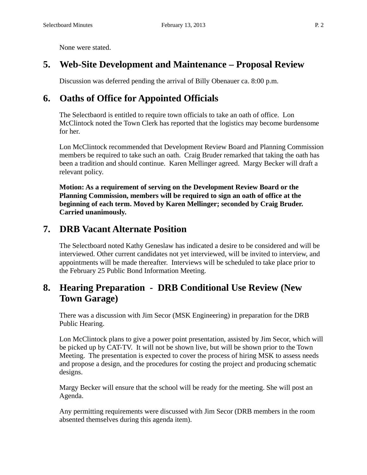None were stated.

## **5. Web-Site Development and Maintenance – Proposal Review**

Discussion was deferred pending the arrival of Billy Obenauer ca. 8:00 p.m.

# **6. Oaths of Office for Appointed Officials**

The Selectbaord is entitled to require town officials to take an oath of office. Lon McClintock noted the Town Clerk has reported that the logistics may become burdensome for her.

Lon McClintock recommended that Development Review Board and Planning Commission members be required to take such an oath. Craig Bruder remarked that taking the oath has been a tradition and should continue. Karen Mellinger agreed. Margy Becker will draft a relevant policy.

**Motion: As a requirement of serving on the Development Review Board or the Planning Commission, members will be required to sign an oath of office at the beginning of each term. Moved by Karen Mellinger; seconded by Craig Bruder. Carried unanimously.**

## **7. DRB Vacant Alternate Position**

The Selectboard noted Kathy Geneslaw has indicated a desire to be considered and will be interviewed. Other current candidates not yet interviewed, will be invited to interview, and appointments will be made thereafter. Interviews will be scheduled to take place prior to the February 25 Public Bond Information Meeting.

## **8. Hearing Preparation - DRB Conditional Use Review (New Town Garage)**

There was a discussion with Jim Secor (MSK Engineering) in preparation for the DRB Public Hearing.

Lon McClintock plans to give a power point presentation, assisted by Jim Secor, which will be picked up by CAT-TV. It will not be shown live, but will be shown prior to the Town Meeting. The presentation is expected to cover the process of hiring MSK to assess needs and propose a design, and the procedures for costing the project and producing schematic designs.

Margy Becker will ensure that the school will be ready for the meeting. She will post an Agenda.

Any permitting requirements were discussed with Jim Secor (DRB members in the room absented themselves during this agenda item).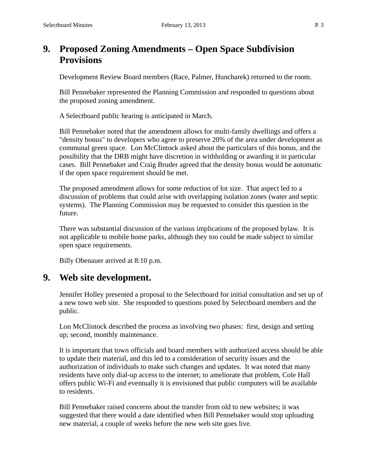## **9. Proposed Zoning Amendments – Open Space Subdivision Provisions**

Development Review Board members (Race, Palmer, Huncharek) returned to the room.

Bill Pennebaker represented the Planning Commission and responded to questions about the proposed zoning amendment.

A Selectboard public hearing is anticipated in March.

Bill Pennebaker noted that the amendment allows for multi-family dwellings and offers a "density bonus" to developers who agree to preserve 20% of the area under development as communal green space. Lon McClintock asked about the particulars of this bonus, and the possibility that the DRB might have discretion in withholding or awarding it in particular cases. Bill Pennebaker and Craig Bruder agreed that the density bonus would be automatic if the open space requirement should be met.

The proposed amendment allows for some reduction of lot size. That aspect led to a discussion of problems that could arise with overlapping isolation zones (water and septic systems). The Planning Commission may be requested to consider this question in the future.

There was substantial discussion of the various implications of the proposed bylaw. It is not applicable to mobile home parks, although they too could be made subject to similar open space requirements.

Billy Obenauer arrived at 8:10 p.m.

#### **9. Web site development.**

Jennifer Holley presented a proposal to the Selectboard for initial consultation and set up of a new town web site. She responded to questions posed by Selectboard members and the public.

Lon McClintock described the process as involving two phases: first, design and setting up; second, monthly maintenance.

It is important that town officials and board members with authorized access should be able to update their material, and this led to a consideration of security issues and the authorization of individuals to make such changes and updates. It was noted that many residents have only dial-up access to the internet; to ameliorate that problem, Cole Hall offers public Wi-Fi and eventually it is envisioned that public computers will be available to residents.

Bill Pennebaker raised concerns about the transfer from old to new websites; it was suggested that there would a date identified when Bill Pennebaker would stop uploading new material, a couple of weeks before the new web site goes live.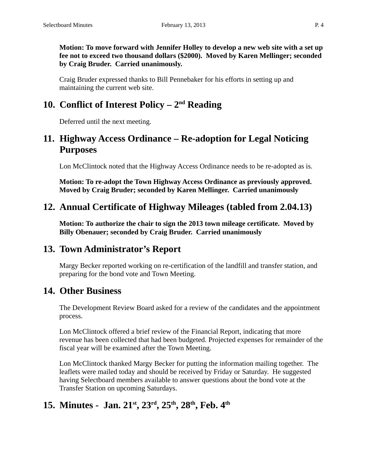**Motion: To move forward with Jennifer Holley to develop a new web site with a set up fee not to exceed two thousand dollars (\$2000). Moved by Karen Mellinger; seconded by Craig Bruder. Carried unanimously.**

Craig Bruder expressed thanks to Bill Pennebaker for his efforts in setting up and maintaining the current web site.

# **10. Conflict of Interest Policy – 2nd Reading**

Deferred until the next meeting.

#### **11. Highway Access Ordinance – Re-adoption for Legal Noticing Purposes**

Lon McClintock noted that the Highway Access Ordinance needs to be re-adopted as is.

**Motion: To re-adopt the Town Highway Access Ordinance as previously approved. Moved by Craig Bruder; seconded by Karen Mellinger. Carried unanimously**

## **12. Annual Certificate of Highway Mileages (tabled from 2.04.13)**

**Motion: To authorize the chair to sign the 2013 town mileage certificate. Moved by Billy Obenauer; seconded by Craig Bruder. Carried unanimously**

## **13. Town Administrator's Report**

Margy Becker reported working on re-certification of the landfill and transfer station, and preparing for the bond vote and Town Meeting.

#### **14. Other Business**

The Development Review Board asked for a review of the candidates and the appointment process.

Lon McClintock offered a brief review of the Financial Report, indicating that more revenue has been collected that had been budgeted. Projected expenses for remainder of the fiscal year will be examined after the Town Meeting.

Lon McClintock thanked Margy Becker for putting the information mailing together. The leaflets were mailed today and should be received by Friday or Saturday. He suggested having Selectboard members available to answer questions about the bond vote at the Transfer Station on upcoming Saturdays.

# **15. Minutes - Jan. 21st, 23rd, 25th, 28th, Feb. 4th**